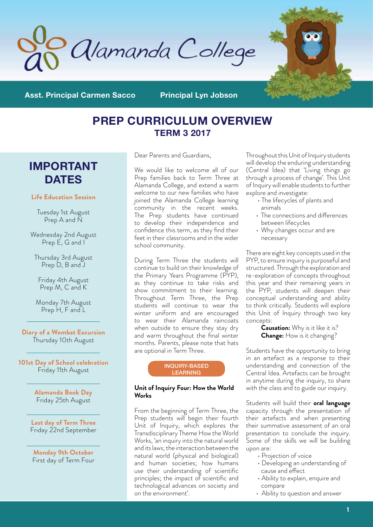



**Asst. Principal Carmen Sacco Principal Lyn Jobson**

# **PREP CURRICULUM OVERVIEW TERM 3 2017**

# **IMPORTANT DATES**

# **Life Education Session**

Tuesday 1st August Prep A and N

Wednesday 2nd August Prep E, G and I

Thursday 3rd August Prep D, B and J

Friday 4th August Prep M, C and K

Monday 7th August Prep H, F and L

**Diary of a Wombat Excursion**  Thursday 10th August

**101st Day of School celebration**  Friday 11th August

> **Alamanda Book Day**  Friday 25th August

**Last day of Term Three**  Friday 22nd September

**Monday 9th October**  First day of Term Four Dear Parents and Guardians,

We would like to welcome all of our Prep families back to Term Three at Alamanda College, and extend a warm welcome to our new families who have joined the Alamanda College learning community in the recent weeks. The Prep students have continued to develop their independence and confidence this term, as they find their feet in their classrooms and in the wider school community.

During Term Three the students will continue to build on their knowledge of the Primary Years Programme (PYP), as they continue to take risks and show commitment to their learning. Throughout Term Three, the Prep students will continue to wear the winter uniform and are encouraged to wear their Alamanda raincoats when outside to ensure they stay dry and warm throughout the final winter months. Parents, please note that hats are optional in Term Three.



### **Unit of Inquiry Four: How the World Works**

From the beginning of Term Three, the Prep students will begin their fourth Unit of Inquiry, which explores the Transdisciplinary Theme How the World Works, 'an inquiry into the natural world and its laws; the interaction between the natural world (physical and biological) and human societies; how humans use their understanding of scientific principles; the impact of scientific and technological advances on society and on the environment'.

Throughout this Unit of Inquiry students will develop the enduring understanding (Central Idea) that 'Living things go through a process of change'. This Unit of Inquiry will enable students to further explore and investigate:

- The lifecycles of plants and animals
- The connections and differences between lifecycles
- Why changes occur and are necessary

There are eight key concepts used in the PYP, to ensure inquiry is purposeful and structured. Through the exploration and re-exploration of concepts throughout this year and their remaining years in the PYP, students will deepen their conceptual understanding and ability to think critically. Students will explore this Unit of Inquiry through two key concepts:

**Causation:** Why is it like it is? **Change:** How is it changing?

Students have the opportunity to bring in an artefact as a response to their understanding and connection of the Central Idea. Artefacts can be brought in anytime during the inquiry, to share with the class and to guide our inquiry.

Students will build their **oral language**  capacity through the presentation of their artefacts and when presenting their summative assessment of an oral presentation to conclude the inquiry. Some of the skills we will be building upon are:

- Projection of voice
- Developing an understanding of cause and effect
- Ability to explain, enquire and compare
- Ability to question and answer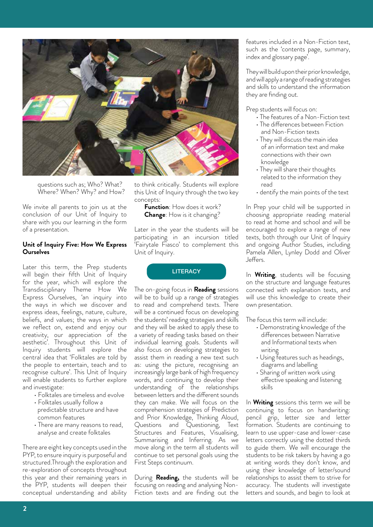

questions such as; Who? What? Where? When? Why? and How?

We invite all parents to join us at the conclusion of our Unit of Inquiry to share with you our learning in the form of a presentation.

#### **Unit of Inquiry Five: How We Express Ourselves**

Later this term, the Prep students will begin their fifth Unit of Inquiry for the year, which will explore the Transdisciplinary Theme How We Express Ourselves, 'an inquiry into the ways in which we discover and express ideas, feelings, nature, culture, beliefs, and values; the ways in which we reflect on, extend and enjoy our creativity, our appreciation of the aesthetic'. Throughout this Unit of Inquiry students will explore the central idea that 'Folktales are told by the people to entertain, teach and to recognise culture'. This Unit of Inquiry will enable students to further explore and investigate:

- Folktales are timeless and evolve
- Folktales usually follow a predictable structure and have common features
- There are many reasons to read, analyse and create folktales

There are eight key concepts used in the PYP, to ensure inquiry is purposeful and structured.Through the exploration and re-exploration of concepts throughout this year and their remaining years in the PYP, students will deepen their conceptual understanding and ability to think critically. Students will explore this Unit of Inquiry through the two key concepts:

**Function**: How does it work? **Change**: How is it changing?

Later in the year the students will be participating in an incursion titled 'Fairytale Fiasco' to complement this Unit of Inquiry.

**LITERACY** 

The on-going focus in **Reading** sessions will be to build up a range of strategies to read and comprehend texts. There will be a continued focus on developing the students' reading strategies and skills and they will be asked to apply these to a variety of reading tasks based on their individual learning goals. Students will also focus on developing strategies to assist them in reading a new text such as: using the picture, recognising an increasingly large bank of high frequency words, and continuing to develop their understanding of the relationships between letters and the different sounds they can make. We will focus on the comprehension strategies of Prediction and Prior Knowledge, Thinking Aloud, Questions and Questioning, Text Structures and Features, Visualising, Summarising and Inferring. As we move along in the term all students will continue to set personal goals using the First Steps continuum.

During **Reading,** the students will be focusing on reading and analysing Non-Fiction texts and are finding out the

features included in a Non-Fiction text, such as the 'contents page, summary, index and glossary page'.

They will build upon their prior knowledge, and will apply a range of reading strategies and skills to understand the information they are finding out.

Prep students will focus on:

- The features of a Non-Fiction text
- The differences between Fiction and Non-Fiction texts
- They will discuss the main idea of an information text and make connections with their own knowledge
- They will share their thoughts related to the information they read
- dentify the main points of the text

In Prep your child will be supported in choosing appropriate reading material to read at home and school and will be encouraged to explore a range of new texts, both through our Unit of Inquiry and ongoing Author Studies, including Pamela Allen, Lynley Dodd and Oliver Jeffers.

In **Writing**, students will be focusing on the structure and language features connected with explanation texts, and will use this knowledge to create their own presentation.

The focus this term will include:

- Demonstrating knowledge of the differences between Narrative and Informational texts when writing
- Using features such as headings, diagrams and labelling
- Sharing of written work using effective speaking and listening skills

In **Writing** sessions this term we will be continuing to focus on handwriting: pencil grip, letter size and letter formation. Students are continuing to learn to use upper-case and lower-case letters correctly using the dotted thirds to guide them. We will encourage the students to be risk takers by having a go at writing words they don't know, and using their knowledge of letter/sound relationships to assist them to strive for accuracy. The students will investigate letters and sounds, and begin to look at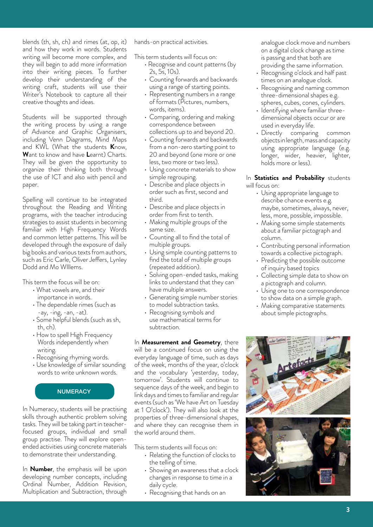blends (th, sh, ch) and rimes (at, op, it) and how they work in words. Students writing will become more complex, and they will begin to add more information into their writing pieces. To further develop their understanding of the writing craft, students will use their Writer's Notebook to capture all their creative thoughts and ideas.

Students will be supported through the writing process by using a range of Advance and Graphic Organisers, including Venn Diagrams, Mind Maps and KWL (What the students **K**now, **W**ant to know and have **L**earnt) Charts. They will be given the opportunity to organize their thinking both through the use of ICT and also with pencil and paper.

Spelling will continue to be integrated throughout the Reading and Writing programs, with the teacher introducing strategies to assist students in becoming familiar with High Frequency Words and common letter patterns. This will be developed through the exposure of daily big books and various texts from authors, such as Eric Carle, Oliver Jeffers, Lynley Dodd and Mo WIllems.

This term the focus will be on:

- What vowels are, and their importance in words.
- The dependable rimes (such as -ay, -ing, -an, -at).
- Some helpful blends (such as sh, th, ch).
- How to spell High Frequency Words independently when writing.
- Recognising rhyming words.
- Use knowledge of similar sounding words to write unknown words.

# **NUMERACY**

In Numeracy, students will be practising skills through authentic problem solving tasks. They will be taking part in teacherfocused groups, individual and small group practise. They will explore openended activities using concrete materials to demonstrate their understanding.

In **Number**, the emphasis will be upon developing number concepts, including Ordinal Number, Addition Revision, Multiplication and Subtraction, through

hands-on practical activities.

This term students will focus on:

- Recognise and count patterns (by 2s, 5s, 10s).
- Counting forwards and backwards using a range of starting points.
- Representing numbers in a range of formats (Pictures, numbers, words, items).
- Comparing, ordering and making correspondence between collections up to and beyond 20.
- Counting forwards and backwards from a non-zero starting point to 20 and beyond (one more or one less, two more or two less).
- Using concrete materials to show simple regrouping.
- Describe and place objects in order such as first, second and third.
- Describe and place objects in order from first to tenth.
- Making multiple groups of the same size.
- Counting all to find the total of multiple groups.
- Using simple counting patterns to find the total of multiple groups (repeated addition).
- Solving open-ended tasks, making links to understand that they can have multiple answers.
- Generating simple number stories to model subtraction tasks.
- Recognising symbols and use mathematical terms for subtraction.

In **Measurement and Geometry**, there will be a continued focus on using the everyday language of time, such as days of the week, months of the year, o'clock and the vocabulary 'yesterday, today, tomorrow'. Students will continue to sequence days of the week, and begin to link days and times to familiar and regular events (such as 'We have Art on Tuesday at 1 O'clock'). They will also look at the properties of three-dimensional shapes, and where they can recognise them in the world around them.

This term students will focus on:

- Relating the function of clocks to the telling of time.
- Showing an awareness that a clock changes in response to time in a daily cycle.
- Recognising that hands on an

analogue clock move and numbers on a digital clock change as time is passing and that both are providing the same information.

- Recognising o'clock and half past times on an analogue clock.
- Recognising and naming common three-dimensional shapes e.g. spheres, cubes, cones, cylinders.
- Identifying where familiar threedimensional objects occur or are used in everyday life.
- Directly comparing common objects in length, mass and capacity using appropriate language (e.g. longer, wider, heavier, lighter, holds more or less).

In **Statistics and Probability** students will focus on:

- Using appropriate language to describe chance events e.g. maybe, sometimes, always, never, less, more, possible, impossible.
- Making some simple statements about a familiar pictograph and column.
- Contributing personal information towards a collective pictograph.
- Predicting the possible outcome of inquiry based topics
- Collecting simple data to show on a pictograph and column.
- Using one to one correspondence to show data on a simple graph.
- Making comparative statements about simple pictographs.

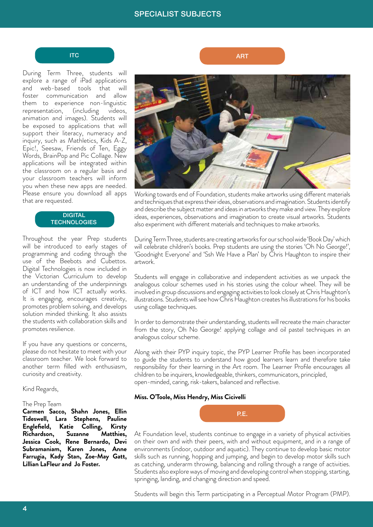#### **ITC**

During Term Three, students will explore a range of iPad applications and web-based tools that will foster communication and allow them to experience non-linguistic representation, (including videos, animation and images). Students will be exposed to applications that will support their literacy, numeracy and inquiry, such as Mathletics, Kids A-Z, Epic!, Seesaw, Friends of Ten, Eggy Words, BrainPop and Pic Collage. New applications will be integrated within the classroom on a regular basis and your classroom teachers will inform you when these new apps are needed. Please ensure you download all apps that are requested.

### **DIGITAL TECHNOLOGIES**

Throughout the year Prep students will be introduced to early stages of programming and coding through the use of the Beebots and Cubettos. Digital Technologies is now included in the Victorian Curriculum to develop an understanding of the underpinnings of ICT and how ICT actually works. It is engaging, encourages creativity, promotes problem solving, and develops solution minded thinking. It also assists the students with collaboration skills and promotes resilience.

If you have any questions or concerns, please do not hesitate to meet with your classroom teacher. We look forward to another term filled with enthusiasm, curiosity and creativity.

Kind Regards,

#### The Prep Team

**Carmen Sacco, Shahn Jones, Ellin Tideswell, Lara Stephens, Pauline Englefield, Katie Colling, Kirsty Richardson, Suzanne Jessica Cook, Rene Bernardo, Devi Subramaniam, Karen Jones, Anne Farrugia, Kady Stan, Zoe-May Gatt, Lillian LaFleur and Jo Foster.**

ART

Working towards end of Foundation, students make artworks using different materials and techniques that express their ideas, observations and imagination. Students identify and describe the subject matter and ideas in artworks they make and view. They explore ideas, experiences, observations and imagination to create visual artworks. Students also experiment with different materials and techniques to make artworks.

During Term Three, students are creating artworks for our school wide 'Book Day' which will celebrate children's books. Prep students are using the stories 'Oh No George!', 'Goodnight Everyone' and 'Ssh We Have a Plan' by Chris Haughton to inspire their artwork.

Students will engage in collaborative and independent activities as we unpack the analogous colour schemes used in his stories using the colour wheel. They will be involved in group discussions and engaging activities to look closely at Chris Haughton's illustrations. Students will see how Chris Haughton creates his illustrations for his books using collage techniques.

In order to demonstrate their understanding, students will recreate the main character from the story, Oh No George! applying collage and oil pastel techniques in an analogous colour scheme.

Along with their PYP inquiry topic, the PYP Learner Profile has been incorporated to guide the students to understand how good learners learn and therefore take responsibility for their learning in the Art room. The Learner Profile encourages all children to be inquirers, knowledgeable, thinkers, communicators, principled, open-minded, caring, risk-takers, balanced and reflective.

#### **Miss. O'Toole, Miss Hendry, Miss Cicivelli**



At Foundation level, students continue to engage in a variety of physical activities on their own and with their peers, with and without equipment, and in a range of environments (indoor, outdoor and aquatic). They continue to develop basic motor skills such as running, hopping and jumping, and begin to develop motor skills such as catching, underarm throwing, balancing and rolling through a range of activities. Students also explore ways of moving and developing control when stopping, starting, springing, landing, and changing direction and speed.

Students will begin this Term participating in a Perceptual Motor Program (PMP).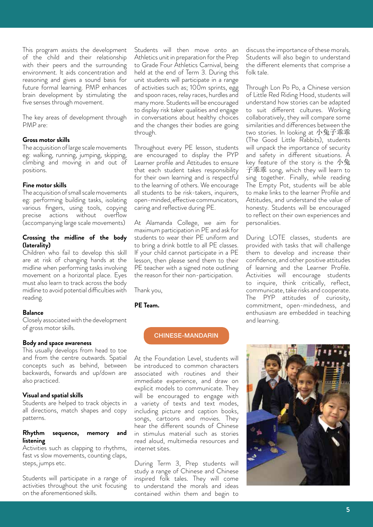This program assists the development of the child and their relationship with their peers and the surrounding environment. It aids concentration and reasoning and gives a sound basis for future formal learning. PMP enhances brain development by stimulating the five senses through movement.

The key areas of development through PMP are:

#### **Gross motor skills**

The acquisition of large scale movements eg: walking, running, jumping, skipping, climbing and moving in and out of positions.

#### **Fine motor skills**

The acquisition of small scale movements eg: performing building tasks, isolating various fingers, using tools, copying precise actions without overflow (accompanying large scale movements)

# **Crossing the midline of the body (laterality)**

Children who fail to develop this skill are at risk of changing hands at the midline when performing tasks involving movement on a horizontal place. Eyes must also learn to track across the body midline to avoid potential difficulties with reading.

## **Balance**

Closely associated with the development of gross motor skills.

#### **Body and space awareness**

This usually develops from head to toe and from the centre outwards. Spatial concepts such as behind, between backwards, forwards and up/down are also practiced.

# **Visual and spatial skills**

Students are helped to track objects in all directions, match shapes and copy patterns.

# **Rhythm sequence, memory and listening**

Activities such as clapping to rhythms, fast vs slow movements, counting claps, steps, jumps etc.

Students will participate in a range of activities throughout the unit focusing on the aforementioned skills.

Students will then move onto an Athletics unit in preparation for the Prep to Grade Four Athletics Carnival, being held at the end of Term 3. During this unit students will participate in a range of activities such as; 100m sprints, egg and spoon races, relay races, hurdles and many more. Students will be encouraged to display risk taker qualities and engage in conversations about healthy choices and the changes their bodies are going through.

Throughout every PE lesson, students are encouraged to display the PYP Learner profile and Attitudes to ensure that each student takes responsibility for their own learning and is respectful to the learning of others. We encourage all students to be risk-takers, inquirers, open-minded, effective communicators, caring and reflective during PE.

At Alamanda College, we aim for maximum participation in PE and ask for students to wear their PE uniform and to bring a drink bottle to all PE classes. If your child cannot participate in a PE lesson, then please send them to their PE teacher with a signed note outlining the reason for their non-participation.

Thank you,

# **PE Team.**

# CHINESE-MANDARIN

At the Foundation Level, students will be introduced to common characters associated with routines and their immediate experience, and draw on explicit models to communicate. They will be encouraged to engage with a variety of texts and text modes, including picture and caption books, songs, cartoons and movies. They hear the different sounds of Chinese in stimulus material such as stories read aloud, multimedia resources and internet sites.

During Term 3, Prep students will study a range of Chinese and Chinese inspired folk tales. They will come to understand the morals and ideas contained within them and begin to

discuss the importance of these morals. Students will also begin to understand the different elements that comprise a folk tale.

Through Lon Po Po, a Chinese version of Little Red Riding Hood, students will understand how stories can be adapted to suit different cultures. Working collaboratively, they will compare some similarities and differences between the two stories. In looking at 小兔子乖乖 (The Good Little Rabbits), students will unpack the importance of security and safety in different situations. A key feature of the story is the 小兔 子乖乖 song, which they will learn to sing together. Finally, while reading The Empty Pot, students will be able to make links to the learner Profile and Attitudes, and understand the value of honesty. Students will be encouraged to reflect on their own experiences and personalities.

During LOTE classes, students are provided with tasks that will challenge them to develop and increase their confidence, and other positive attitudes of learning and the Learner Profile. Activities will encourage students to inquire, think critically, reflect, communicate, take risks and cooperate. The PYP attitudes of curiosity, commitment, open-mindedness, and enthusiasm are embedded in teaching and learning.